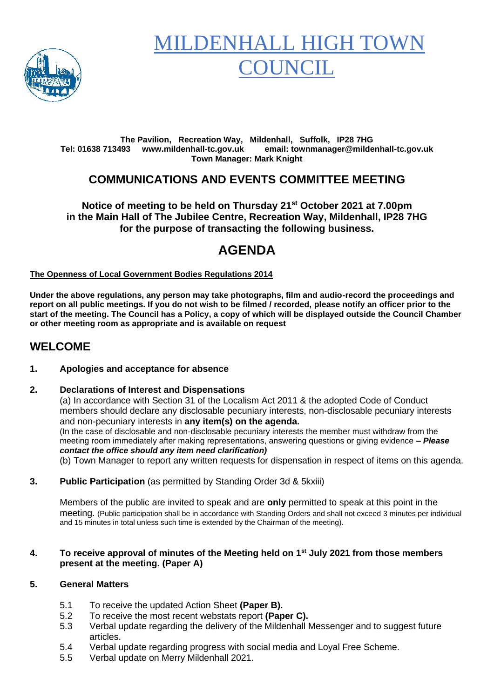

# MILDENHALL HIGH TO **OUNCIL**

#### **The Pavilion, Recreation Way, Mildenhall, Suffolk, IP28 7HG Tel: 01638 713493 www.mildenhall-tc.gov.uk email: townmanager@mildenhall-tc.gov.uk Town Manager: Mark Knight**

# **COMMUNICATIONS AND EVENTS COMMITTEE MEETING**

#### **Notice of meeting to be held on Thursday 21 st October 2021 at 7.00pm in the Main Hall of The Jubilee Centre, Recreation Way, Mildenhall, IP28 7HG for the purpose of transacting the following business.**

# **AGENDA**

#### **The Openness of Local Government Bodies Regulations 2014**

**Under the above regulations, any person may take photographs, film and audio-record the proceedings and report on all public meetings. If you do not wish to be filmed / recorded, please notify an officer prior to the start of the meeting. The Council has a Policy, a copy of which will be displayed outside the Council Chamber or other meeting room as appropriate and is available on request**

### **WELCOME**

#### **1. Apologies and acceptance for absence**

#### **2. Declarations of Interest and Dispensations**

(a) In accordance with Section 31 of the Localism Act 2011 & the adopted Code of Conduct members should declare any disclosable pecuniary interests, non-disclosable pecuniary interests and non-pecuniary interests in **any item(s) on the agenda.** (In the case of disclosable and non-disclosable pecuniary interests the member must withdraw from the meeting room immediately after making representations, answering questions or giving evidence **–** *Please contact the office should any item need clarification)*

(b) Town Manager to report any written requests for dispensation in respect of items on this agenda.

**3. Public Participation** (as permitted by Standing Order 3d & 5kxiii)

Members of the public are invited to speak and are **only** permitted to speak at this point in the meeting. (Public participation shall be in accordance with Standing Orders and shall not exceed 3 minutes per individual and 15 minutes in total unless such time is extended by the Chairman of the meeting).

#### **4. To receive approval of minutes of the Meeting held on 1st July 2021 from those members present at the meeting. (Paper A)**

#### **5. General Matters**

- 5.1 To receive the updated Action Sheet **(Paper B).**
- 5.2 To receive the most recent webstats report **(Paper C).**
- 5.3 Verbal update regarding the delivery of the Mildenhall Messenger and to suggest future articles.
- 5.4 Verbal update regarding progress with social media and Loyal Free Scheme.
- 5.5 Verbal update on Merry Mildenhall 2021.